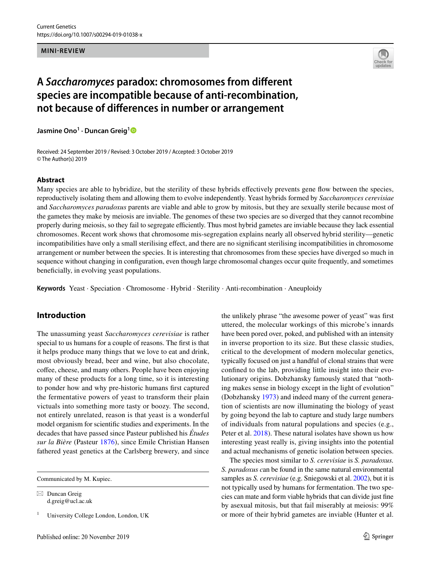#### **MINI-REVIEW**



# **A** *Saccharomyces* **paradox: chromosomes from diferent species are incompatible because of anti‑recombination, not because of diferences in number or arrangement**

**Jasmine Ono<sup>1</sup> · Duncan Greig[1](http://orcid.org/0000-0002-8907-0253)**

Received: 24 September 2019 / Revised: 3 October 2019 / Accepted: 3 October 2019 © The Author(s) 2019

#### **Abstract**

Many species are able to hybridize, but the sterility of these hybrids efectively prevents gene fow between the species, reproductively isolating them and allowing them to evolve independently. Yeast hybrids formed by *Saccharomyces cerevisiae* and *Saccharomyces paradoxus* parents are viable and able to grow by mitosis, but they are sexually sterile because most of the gametes they make by meiosis are inviable. The genomes of these two species are so diverged that they cannot recombine properly during meiosis, so they fail to segregate efficiently. Thus most hybrid gametes are inviable because they lack essential chromosomes. Recent work shows that chromosome mis-segregation explains nearly all observed hybrid sterility—genetic incompatibilities have only a small sterilising efect, and there are no signifcant sterilising incompatibilities in chromosome arrangement or number between the species. It is interesting that chromosomes from these species have diverged so much in sequence without changing in configuration, even though large chromosomal changes occur quite frequently, and sometimes benefcially, in evolving yeast populations.

**Keywords** Yeast · Speciation · Chromosome · Hybrid · Sterility · Anti-recombination · Aneuploidy

## **Introduction**

The unassuming yeast *Saccharomyces cerevisiae* is rather special to us humans for a couple of reasons. The frst is that it helps produce many things that we love to eat and drink, most obviously bread, beer and wine, but also chocolate, coffee, cheese, and many others. People have been enjoying many of these products for a long time, so it is interesting to ponder how and why pre-historic humans frst captured the fermentative powers of yeast to transform their plain victuals into something more tasty or boozy. The second, not entirely unrelated, reason is that yeast is a wonderful model organism for scientifc studies and experiments. In the decades that have passed since Pasteur published his *Études sur la Bière* (Pasteur [1876\)](#page-4-0), since Emile Christian Hansen fathered yeast genetics at the Carlsberg brewery, and since

Communicated by M. Kupiec.

 $\boxtimes$  Duncan Greig d.greig@ucl.ac.uk

<sup>1</sup> University College London, London, UK

the unlikely phrase "the awesome power of yeast" was frst uttered, the molecular workings of this microbe's innards have been pored over, poked, and published with an intensity in inverse proportion to its size. But these classic studies, critical to the development of modern molecular genetics, typically focused on just a handful of clonal strains that were confned to the lab, providing little insight into their evolutionary origins. Dobzhansky famously stated that "nothing makes sense in biology except in the light of evolution" (Dobzhansky [1973](#page-3-0)) and indeed many of the current generation of scientists are now illuminating the biology of yeast by going beyond the lab to capture and study large numbers of individuals from natural populations and species (e.g., Peter et al. [2018](#page-4-1)). These natural isolates have shown us how interesting yeast really is, giving insights into the potential and actual mechanisms of genetic isolation between species.

The species most similar to *S. cerevisiae* is *S. paradoxus. S. paradoxus c*an be found in the same natural environmental samples as *S. cerevisiae* (e.g. Sniegowski et al. [2002\)](#page-4-2), but it is not typically used by humans for fermentation. The two species can mate and form viable hybrids that can divide just fne by asexual mitosis, but that fail miserably at meiosis: 99% or more of their hybrid gametes are inviable (Hunter et al.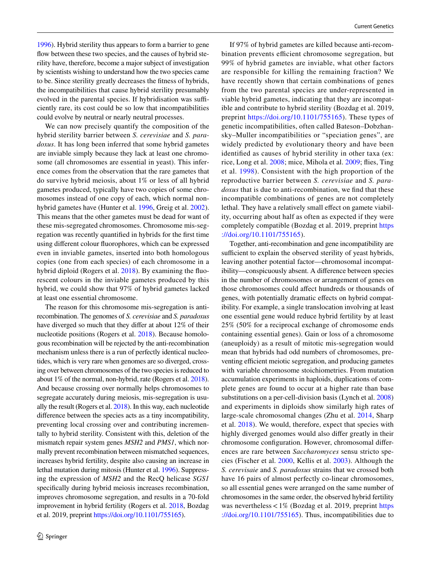[1996\)](#page-4-3). Hybrid sterility thus appears to form a barrier to gene flow between these two species, and the causes of hybrid sterility have, therefore, become a major subject of investigation by scientists wishing to understand how the two species came to be. Since sterility greatly decreases the ftness of hybrids, the incompatibilities that cause hybrid sterility presumably evolved in the parental species. If hybridisation was sufficiently rare, its cost could be so low that incompatibilities could evolve by neutral or nearly neutral processes.

We can now precisely quantify the composition of the hybrid sterility barrier between *S. cerevisiae* and *S. paradoxus*. It has long been inferred that some hybrid gametes are inviable simply because they lack at least one chromosome (all chromosomes are essential in yeast). This inference comes from the observation that the rare gametes that do survive hybrid meiosis, about 1% or less of all hybrid gametes produced, typically have two copies of some chromosomes instead of one copy of each, which normal nonhybrid gametes have (Hunter et al. [1996](#page-4-3), Greig et al. [2002](#page-4-4)). This means that the other gametes must be dead for want of these mis-segregated chromosomes. Chromosome mis-segregation was recently quantifed in hybrids for the frst time using diferent colour fuorophores, which can be expressed even in inviable gametes, inserted into both homologous copies (one from each species) of each chromosome in a hybrid diploid (Rogers et al. [2018\)](#page-4-5). By examining the fuorescent colours in the inviable gametes produced by this hybrid, we could show that 97% of hybrid gametes lacked at least one essential chromosome.

The reason for this chromosome mis-segregation is antirecombination. The genomes of *S. cerevisiae* and *S. paradoxus* have diverged so much that they difer at about 12% of their nucleotide positions (Rogers et al. [2018\)](#page-4-5). Because homologous recombination will be rejected by the anti-recombination mechanism unless there is a run of perfectly identical nucleotides, which is very rare when genomes are so diverged, crossing over between chromosomes of the two species is reduced to about 1% of the normal, non-hybrid, rate (Rogers et al. [2018](#page-4-5)). And because crossing over normally helps chromosomes to segregate accurately during meiosis, mis-segregation is usually the result (Rogers et al. [2018](#page-4-5)). In this way, each nucleotide diference between the species acts as a tiny incompatibility, preventing local crossing over and contributing incrementally to hybrid sterility. Consistent with this, deletion of the mismatch repair system genes *MSH2* and *PMS1*, which normally prevent recombination between mismatched sequences, increases hybrid fertility, despite also causing an increase in lethal mutation during mitosis (Hunter et al. [1996\)](#page-4-3). Suppressing the expression of *MSH2* and the RecQ helicase *SGS1* specifcally during hybrid meiosis increases recombination, improves chromosome segregation, and results in a 70-fold improvement in hybrid fertility (Rogers et al. [2018,](#page-4-5) Bozdag et al. 2019, preprint [https://doi.org/10.1101/755165\)](https://doi.org/10.1101/755165).

If 97% of hybrid gametes are killed because anti-recombination prevents efficient chromosome segregation, but 99% of hybrid gametes are inviable, what other factors are responsible for killing the remaining fraction? We have recently shown that certain combinations of genes from the two parental species are under-represented in viable hybrid gametes, indicating that they are incompatible and contribute to hybrid sterility (Bozdag et al. 2019, preprint <https://doi.org/10.1101/755165>). These types of genetic incompatibilities, often called Bateson–Dobzhansky–Muller incompatibilities or "speciation genes", are widely predicted by evolutionary theory and have been identifed as causes of hybrid sterility in other taxa (ex: rice, Long et al. [2008](#page-4-6); mice, Mihola et al. [2009;](#page-4-7) fies, Ting et al. [1998](#page-4-8)). Consistent with the high proportion of the reproductive barrier between *S. cerevisiae* and *S. paradoxus* that is due to anti-recombination, we fnd that these incompatible combinations of genes are not completely lethal. They have a relatively small effect on gamete viability, occurring about half as often as expected if they were completely compatible (Bozdag et al. 2019, preprint [https](https://doi.org/10.1101/755165) [://doi.org/10.1101/755165\)](https://doi.org/10.1101/755165).

Together, anti-recombination and gene incompatibility are sufficient to explain the observed sterility of yeast hybrids, leaving another potential factor—chromosomal incompatibility—conspicuously absent. A diference between species in the number of chromosomes or arrangement of genes on those chromosomes could afect hundreds or thousands of genes, with potentially dramatic efects on hybrid compatibility. For example, a single translocation involving at least one essential gene would reduce hybrid fertility by at least 25% (50% for a reciprocal exchange of chromosome ends containing essential genes). Gain or loss of a chromosome (aneuploidy) as a result of mitotic mis-segregation would mean that hybrids had odd numbers of chromosomes, preventing efficient meiotic segregation, and producing gametes with variable chromosome stoichiometries. From mutation accumulation experiments in haploids, duplications of complete genes are found to occur at a higher rate than base substitutions on a per-cell-division basis (Lynch et al. [2008\)](#page-4-9) and experiments in diploids show similarly high rates of large-scale chromosomal changes (Zhu et al. [2014,](#page-5-0) Sharp et al. [2018](#page-4-10)). We would, therefore, expect that species with highly diverged genomes would also difer greatly in their chromosome confguration. However, chromosomal diferences are rare between *Saccharomyces* sensu stricto species (Fischer et al. [2000,](#page-4-11) Kellis et al. [2003](#page-4-12)). Although the *S. cerevisaie* and *S. paradoxus* strains that we crossed both have 16 pairs of almost perfectly co-linear chromosomes, so all essential genes were arranged on the same number of chromosomes in the same order, the observed hybrid fertility was nevertheless  $< 1\%$  (Bozdag et al. 2019, preprint [https](https://doi.org/10.1101/755165) [://doi.org/10.1101/755165](https://doi.org/10.1101/755165)). Thus, incompatibilities due to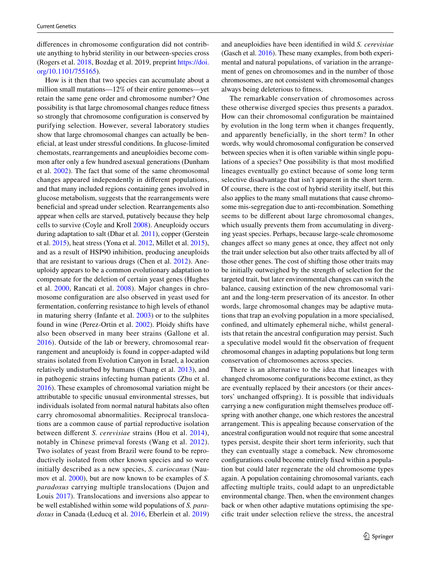diferences in chromosome confguration did not contribute anything to hybrid sterility in our between-species cross (Rogers et al. [2018,](#page-4-5) Bozdag et al. 2019, preprint [https://doi.](https://doi.org/10.1101/755165) [org/10.1101/755165](https://doi.org/10.1101/755165)).

How is it then that two species can accumulate about a million small mutations—12% of their entire genomes—yet retain the same gene order and chromosome number? One possibility is that large chromosomal changes reduce ftness so strongly that chromosome confguration is conserved by purifying selection. However, several laboratory studies show that large chromosomal changes can actually be benefcial, at least under stressful conditions. In glucose-limited chemostats, rearrangements and aneuploidies become common after only a few hundred asexual generations (Dunham et al. [2002\)](#page-3-1). The fact that some of the same chromosomal changes appeared independently in diferent populations, and that many included regions containing genes involved in glucose metabolism, suggests that the rearrangements were benefcial and spread under selection. Rearrangements also appear when cells are starved, putatively because they help cells to survive (Coyle and Kroll [2008](#page-3-2)). Aneuploidy occurs during adaptation to salt (Dhar et al. [2011\)](#page-3-3), copper (Gerstein et al. [2015](#page-4-13)), heat stress (Yona et al. [2012,](#page-4-14) Millet et al. [2015](#page-4-15)), and as a result of HSP90 inhibition, producing aneuploids that are resistant to various drugs (Chen et al. [2012](#page-3-4)). Aneuploidy appears to be a common evolutionary adaptation to compensate for the deletion of certain yeast genes (Hughes et al. [2000,](#page-4-16) Rancati et al. [2008\)](#page-4-17). Major changes in chromosome confguration are also observed in yeast used for fermentation, conferring resistance to high levels of ethanol in maturing sherry (Infante et al. [2003\)](#page-4-18) or to the sulphites found in wine (Perez-Ortin et al. [2002](#page-4-19)). Ploidy shifts have also been observed in many beer strains (Gallone et al. [2016\)](#page-4-20). Outside of the lab or brewery, chromosomal rearrangement and aneuploidy is found in copper-adapted wild strains isolated from Evolution Canyon in Israel, a location relatively undisturbed by humans (Chang et al. [2013\)](#page-3-5), and in pathogenic strains infecting human patients (Zhu et al. [2016](#page-5-1)). These examples of chromosomal variation might be attributable to specifc unusual environmental stresses, but individuals isolated from normal natural habitats also often carry chromosomal abnormalities. Reciprocal translocations are a common cause of partial reproductive isolation between diferent *S. cerevisiae* strains (Hou et al. [2014](#page-4-21)), notably in Chinese primeval forests (Wang et al. [2012](#page-4-22)). Two isolates of yeast from Brazil were found to be reproductively isolated from other known species and so were initially described as a new species, *S. cariocanus* (Naumov et al. [2000](#page-4-23)), but are now known to be examples of *S. paradoxus* carrying multiple translocations (Dujon and Louis [2017\)](#page-3-6). Translocations and inversions also appear to be well established within some wild populations of *S. paradoxus* in Canada (Leducq et al. [2016](#page-4-24), Eberlein et al. [2019\)](#page-4-25) and aneuploidies have been identifed in wild *S. cerevisiae* (Gasch et al. [2016\)](#page-4-26). These many examples, from both experimental and natural populations, of variation in the arrangement of genes on chromosomes and in the number of those chromosomes, are not consistent with chromosomal changes always being deleterious to ftness.

The remarkable conservation of chromosomes across these otherwise diverged species thus presents a paradox. How can their chromosomal confguration be maintained by evolution in the long term when it changes frequently, and apparently beneficially, in the short term? In other words, why would chromosomal confguration be conserved between species when it is often variable within single populations of a species? One possibility is that most modifed lineages eventually go extinct because of some long term selective disadvantage that isn't apparent in the short term. Of course, there is the cost of hybrid sterility itself, but this also applies to the many small mutations that cause chromosome mis-segregation due to anti-recombination. Something seems to be diferent about large chromosomal changes, which usually prevents them from accumulating in diverging yeast species. Perhaps, because large-scale chromosome changes affect so many genes at once, they affect not only the trait under selection but also other traits afected by all of those other genes. The cost of shifting those other traits may be initially outweighed by the strength of selection for the targeted trait, but later environmental changes can switch the balance, causing extinction of the new chromosomal variant and the long-term preservation of its ancestor. In other words, large chromosomal changes may be adaptive mutations that trap an evolving population in a more specialised, confned, and ultimately ephemeral niche, whilst generalists that retain the ancestral confguration may persist. Such a speculative model would ft the observation of frequent chromosomal changes in adapting populations but long term conservation of chromosomes across species.

There is an alternative to the idea that lineages with changed chromosome confgurations become extinct, as they are eventually replaced by their ancestors (or their ancestors' unchanged ofspring). It is possible that individuals carrying a new confguration might themselves produce ofspring with another change, one which restores the ancestral arrangement. This is appealing because conservation of the ancestral confguration would not require that some ancestral types persist, despite their short term inferiority, such that they can eventually stage a comeback. New chromosome confgurations could become entirely fxed within a population but could later regenerate the old chromosome types again. A population containing chromosomal variants, each afecting multiple traits, could adapt to an unpredictable environmental change. Then, when the environment changes back or when other adaptive mutations optimising the specifc trait under selection relieve the stress, the ancestral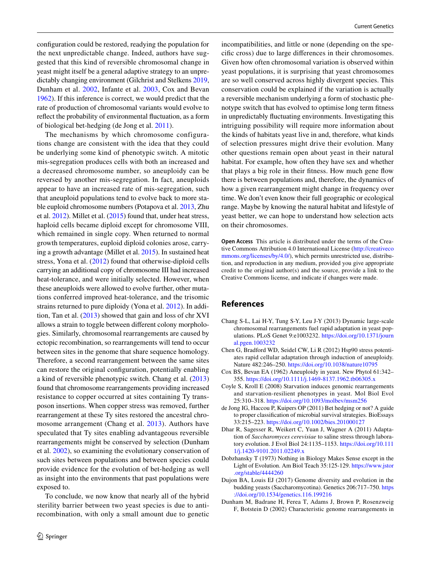confguration could be restored, readying the population for the next unpredictable change. Indeed, authors have suggested that this kind of reversible chromosomal change in yeast might itself be a general adaptive strategy to an unpredictably changing environment (Gilchrist and Stelkens [2019,](#page-4-27) Dunham et al. [2002,](#page-3-1) Infante et al. [2003,](#page-4-18) Cox and Bevan [1962](#page-3-7)). If this inference is correct, we would predict that the rate of production of chromosomal variants would evolve to refect the probability of environmental fuctuation, as a form of biological bet-hedging (de Jong et al. [2011](#page-3-8)).

The mechanisms by which chromosome configurations change are consistent with the idea that they could be underlying some kind of phenotypic switch. A mitotic mis-segregation produces cells with both an increased and a decreased chromosome number, so aneuploidy can be reversed by another mis-segregation. In fact, aneuploids appear to have an increased rate of mis-segregation, such that aneuploid populations tend to evolve back to more stable euploid chromosome numbers (Potapova et al. [2013,](#page-4-28) Zhu et al. [2012](#page-4-29)). Millet et al. ([2015\)](#page-4-15) found that, under heat stress, haploid cells became diploid except for chromosome VIII, which remained in single copy. When returned to normal growth temperatures, euploid diploid colonies arose, carrying a growth advantage (Millet et al. [2015](#page-4-15)). In sustained heat stress, Yona et al. [\(2012](#page-4-14)) found that otherwise-diploid cells carrying an additional copy of chromosome III had increased heat-tolerance, and were initially selected. However, when these aneuploids were allowed to evolve further, other mutations conferred improved heat-tolerance, and the trisomic strains returned to pure diploidy (Yona et al. [2012\)](#page-4-14). In addition, Tan et al. [\(2013\)](#page-4-30) showed that gain and loss of chr XVI allows a strain to toggle between diferent colony morphologies. Similarly, chromosomal rearrangements are caused by ectopic recombination, so rearrangements will tend to occur between sites in the genome that share sequence homology. Therefore, a second rearrangement between the same sites can restore the original confguration, potentially enabling a kind of reversible phenotypic switch. Chang et al. ([2013\)](#page-3-5) found that chromosome rearrangements providing increased resistance to copper occurred at sites containing Ty transposon insertions. When copper stress was removed, further rearrangement at these Ty sites restored the ancestral chromosome arrangement (Chang et al. [2013\)](#page-3-5). Authors have speculated that Ty sites enabling advantageous reversible rearrangements might be conserved by selection (Dunham et al. [2002](#page-3-1)), so examining the evolutionary conservation of such sites between populations and between species could provide evidence for the evolution of bet-hedging as well as insight into the environments that past populations were exposed to.

To conclude, we now know that nearly all of the hybrid sterility barrier between two yeast species is due to antirecombination, with only a small amount due to genetic incompatibilities, and little or none (depending on the specifc cross) due to large diferences in their chromosomes. Given how often chromosomal variation is observed within yeast populations, it is surprising that yeast chromosomes are so well conserved across highly divergent species. This conservation could be explained if the variation is actually a reversible mechanism underlying a form of stochastic phenotype switch that has evolved to optimise long term ftness in unpredictably fuctuating environments. Investigating this intriguing possibility will require more information about the kinds of habitats yeast live in and, therefore, what kinds of selection pressures might drive their evolution. Many other questions remain open about yeast in their natural habitat. For example, how often they have sex and whether that plays a big role in their fitness. How much gene flow there is between populations and, therefore, the dynamics of how a given rearrangement might change in frequency over time. We don't even know their full geographic or ecological range. Maybe by knowing the natural habitat and lifestyle of yeast better, we can hope to understand how selection acts on their chromosomes.

**Open Access** This article is distributed under the terms of the Creative Commons Attribution 4.0 International License ([http://creativeco](http://creativecommons.org/licenses/by/4.0/) [mmons.org/licenses/by/4.0/](http://creativecommons.org/licenses/by/4.0/)), which permits unrestricted use, distribution, and reproduction in any medium, provided you give appropriate credit to the original author(s) and the source, provide a link to the Creative Commons license, and indicate if changes were made.

### **References**

- <span id="page-3-5"></span>Chang S-L, Lai H-Y, Tung S-Y, Leu J-Y (2013) Dynamic large-scale chromosomal rearrangements fuel rapid adaptation in yeast populations. PLoS Genet 9:e1003232. [https://doi.org/10.1371/journ](https://doi.org/10.1371/journal.pgen.1003232) [al.pgen.1003232](https://doi.org/10.1371/journal.pgen.1003232)
- <span id="page-3-4"></span>Chen G, Bradford WD, Seidel CW, Li R (2012) Hsp90 stress potentiates rapid cellular adaptation through induction of aneuploidy. Nature 482:246–250.<https://doi.org/10.1038/nature10795>
- <span id="page-3-7"></span>Cox BS, Bevan EA (1962) Aneuploidy in yeast. New Phytol 61:342– 355.<https://doi.org/10.1111/j.1469-8137.1962.tb06305.x>
- <span id="page-3-2"></span>Coyle S, Kroll E (2008) Starvation induces genomic rearrangements and starvation-resilient phenotypes in yeast. Mol Biol Evol 25:310–318.<https://doi.org/10.1093/molbev/msm256>
- <span id="page-3-8"></span>de Jong IG, Haccou P, Kuipers OP (2011) Bet hedging or not? A guide to proper classifcation of microbial survival strategies. BioEssays 33:215–223.<https://doi.org/10.1002/bies.201000127>
- <span id="page-3-3"></span>Dhar R, Sagesser R, Weikert C, Yuan J, Wagner A (2011) Adaptation of *Saccharomyces cerevisiae* to saline stress through laboratory evolution. J Evol Biol 24:1135–1153. [https://doi.org/10.111](https://doi.org/10.1111/j.1420-9101.2011.02249.x) [1/j.1420-9101.2011.02249.x](https://doi.org/10.1111/j.1420-9101.2011.02249.x)
- <span id="page-3-0"></span>Dobzhansky T (1973) Nothing in Biology Makes Sense except in the Light of Evolution. Am Biol Teach 35:125-129. [https://www.jstor](https://www.jstor.org/stable/4444260) [.org/stable/4444260](https://www.jstor.org/stable/4444260)
- <span id="page-3-6"></span>Dujon BA, Louis EJ (2017) Genome diversity and evolution in the budding yeasts (Saccharomycotina). Genetics 206:717–750. [https](https://doi.org/10.1534/genetics.116.199216) [://doi.org/10.1534/genetics.116.199216](https://doi.org/10.1534/genetics.116.199216)
- <span id="page-3-1"></span>Dunham M, Badrane H, Ferea T, Adams J, Brown P, Rosenzweig F, Botstein D (2002) Characteristic genome rearrangements in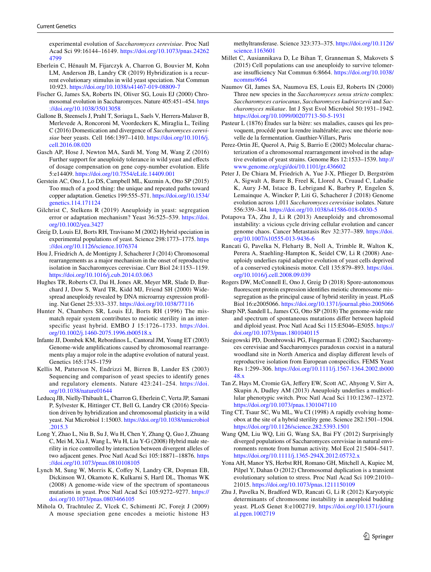experimental evolution of *Saccharomyces cerevisiae*. Proc Natl Acad Sci 99:16144–16149. [https://doi.org/10.1073/pnas.24262](https://doi.org/10.1073/pnas.242624799) [4799](https://doi.org/10.1073/pnas.242624799)

- <span id="page-4-25"></span>Eberlein C, Hénault M, Fijarczyk A, Charron G, Bouvier M, Kohn LM, Anderson JB, Landry CR (2019) Hybridization is a recurrent evolutionary stimulus in wild yeast speciation. Nat Commun 10:923.<https://doi.org/10.1038/s41467-019-08809-7>
- <span id="page-4-11"></span>Fischer G, James SA, Roberts IN, Oliver SG, Louis EJ (2000) Chromosomal evolution in Saccharomyces. Nature 405:451–454. [https](https://doi.org/10.1038/35013058) [://doi.org/10.1038/35013058](https://doi.org/10.1038/35013058)
- <span id="page-4-20"></span>Gallone B, Steensels J, Prahl T, Soriaga L, Saels V, Herrera-Malaver B, Merlevede A, Roncoroni M, Voordeckers K, Miraglia L, Teiling C (2016) Domestication and divergence of *Saccharomyces cerevisiae* beer yeasts. Cell 166:1397–1410. [https://doi.org/10.1016/j.](https://doi.org/10.1016/j.cell.2016.08.020) [cell.2016.08.020](https://doi.org/10.1016/j.cell.2016.08.020)
- <span id="page-4-26"></span>Gasch AP, Hose J, Newton MA, Sardi M, Yong M, Wang Z (2016) Further support for aneuploidy tolerance in wild yeast and effects of dosage compensation on gene copy-number evolution. Elife 5:e14409.<https://doi.org/10.7554/eLife.14409.001>
- <span id="page-4-13"></span>Gerstein AC, Ono J, Lo DS, Campbell ML, Kuzmin A, Otto SP (2015) Too much of a good thing: the unique and repeated paths toward copper adaptation. Genetics 199:555–571. [https://doi.org/10.1534/](https://doi.org/10.1534/genetics.114.171124) [genetics.114.171124](https://doi.org/10.1534/genetics.114.171124)
- <span id="page-4-27"></span>Gilchrist C, Stelkens R (2019) Aneuploidy in yeast: segregation error or adaptation mechanism? Yeast 36:525–539. [https://doi.](https://doi.org/10.1002/yea.3427) [org/10.1002/yea.3427](https://doi.org/10.1002/yea.3427)
- <span id="page-4-4"></span>Greig D, Louis EJ, Borts RH, Travisano M (2002) Hybrid speciation in experimental populations of yeast. Science 298:1773–1775. [https](https://doi.org/10.1126/science.1076374) [://doi.org/10.1126/science.1076374](https://doi.org/10.1126/science.1076374)
- <span id="page-4-21"></span>Hou J, Friedrich A, de Montigny J, Schacherer J (2014) Chromosomal rearrangements as a major mechanism in the onset of reproductive isolation in Saccharomyces cerevisiae. Curr Biol 24:1153–1159. <https://doi.org/10.1016/j.cub.2014.03.063>
- <span id="page-4-16"></span>Hughes TR, Roberts CJ, Dai H, Jones AR, Meyer MR, Slade D, Burchard J, Dow S, Ward TR, Kidd MJ, Friend SH (2000) Widespread aneuploidy revealed by DNA microarray expression profling. Nat Genet 25:333–337.<https://doi.org/10.1038/77116>
- <span id="page-4-3"></span>Hunter N, Chambers SR, Louis EJ, Borts RH (1996) The mismatch repair system contributes to meiotic sterility in an interspecific yeast hybrid. EMBO J 15:1726–1733. [https://doi.](https://doi.org/10.1002/j.1460-2075.1996.tb00518.x) [org/10.1002/j.1460-2075.1996.tb00518.x](https://doi.org/10.1002/j.1460-2075.1996.tb00518.x)
- <span id="page-4-18"></span>Infante JJ, Dombek KM, Rebordinos L, Cantoral JM, Young ET (2003) Genome-wide amplifcations caused by chromosomal rearrangements play a major role in the adaptive evolution of natural yeast. Genetics 165:1745–1759
- <span id="page-4-12"></span>Kellis M, Patterson N, Endrizzi M, Birren B, Lander ES (2003) Sequencing and comparison of yeast species to identify genes and regulatory elements. Nature 423:241–254. [https://doi.](https://doi.org/10.1038/nature01644) [org/10.1038/nature01644](https://doi.org/10.1038/nature01644)
- <span id="page-4-24"></span>Leducq JB, Nielly-Thibault L, Charron G, Eberlein C, Verta JP, Samani P, Sylvester K, Hittinger CT, Bell G, Landry CR (2016) Speciation driven by hybridization and chromosomal plasticity in a wild yeast. Nat Microbiol 1:15003. [https://doi.org/10.1038/nmicrobiol](https://doi.org/10.1038/nmicrobiol.2015.3) [.2015.3](https://doi.org/10.1038/nmicrobiol.2015.3)
- <span id="page-4-6"></span>Long Y, Zhao L, Niu B, Su J, Wu H, Chen Y, Zhang Q, Guo J, Zhuang C, Mei M, Xia J, Wang L, Wu H, Liu Y-G (2008) Hybrid male sterility in rice controlled by interaction between divergent alleles of two adjacent genes. Proc Natl Acad Sci 105:18871–18876. [https](https://doi.org/10.1073/pnas.0810108105) [://doi.org/10.1073/pnas.0810108105](https://doi.org/10.1073/pnas.0810108105)
- <span id="page-4-9"></span>Lynch M, Sung W, Morris K, Coffey N, Landry CR, Dopman EB, Dickinson WJ, Okamoto K, Kulkarni S, Hartl DL, Thomas WK (2008) A genome-wide view of the spectrum of spontaneous mutations in yeast. Proc Natl Acad Sci 105:9272–9277. [https://](https://doi.org/10.1073/pnas.0803466105) [doi.org/10.1073/pnas.0803466105](https://doi.org/10.1073/pnas.0803466105)
- <span id="page-4-7"></span>Mihola O, Trachtulec Z, Vlcek C, Schimenti JC, Forejt J (2009) A mouse speciation gene encodes a meiotic histone H3

methyltransferase. Science 323:373–375. [https://doi.org/10.1126/](https://doi.org/10.1126/science.1163601) [science.1163601](https://doi.org/10.1126/science.1163601)

- <span id="page-4-15"></span>Millet C, Ausiannikava D, Le Bihan T, Granneman S, Makovets S (2015) Cell populations can use aneuploidy to survive telomerase insufficiency Nat Commun 6:8664. [https://doi.org/10.1038/](https://doi.org/10.1038/ncomms9664) [ncomms9664](https://doi.org/10.1038/ncomms9664)
- <span id="page-4-23"></span>Naumov GI, James SA, Naumova ES, Louis EJ, Roberts IN (2000) Three new species in the *Saccharomyces sensu stricto* complex: *Saccharomyces cariocanus*, *Saccharomyces kudriavzevii* and *Saccharomyces mikatae*. Int J Syst Evol Microbiol 50:1931–1942. <https://doi.org/10.1099/00207713-50-5-1931>
- <span id="page-4-0"></span>Pasteur L (1876) Études sur la bière: ses maladies, causes qui les provoquent, procédé pour la rendre inaltérable; avec une théorie nouvelle de la fermentation. Gauthier-Villars, Paris
- <span id="page-4-19"></span>Perez-Ortin JE, Querol A, Puig S, Barrio E (2002) Molecular characterization of a chromosomal rearrangement involved in the adaptive evolution of yeast strains. Genome Res 12:1533–1539. [http://](http://www.genome.org/cgi/doi/10.1101/gr.436602) [www.genome.org/cgi/doi/10.1101/gr.436602](http://www.genome.org/cgi/doi/10.1101/gr.436602)
- <span id="page-4-1"></span>Peter J, De Chiara M, Friedrich A, Yue J-X, Pfieger D, Bergström A, Sigwalt A, Barre B, Freel K, Llored A, Cruaud C, Labadie K, Aury J-M, Istace B, Lebrigand K, Barbry P, Engelen S, Lemainque A, Wincker P, Liti G, Schacherer J (2018) Genome evolution across 1,011 *Saccharomyces cerevisiae* isolates. Nature 556:339–344. <https://doi.org/10.1038/s41586-018-0030-5>
- <span id="page-4-28"></span>Potapova TA, Zhu J, Li R (2013) Aneuploidy and chromosomal instability: a vicious cycle driving cellular evolution and cancer genome chaos. Cancer Metastasis Rev 32:377–389. [https://doi.](https://doi.org/10.1007/s10555-013-9436-6) [org/10.1007/s10555-013-9436-6](https://doi.org/10.1007/s10555-013-9436-6)
- <span id="page-4-17"></span>Rancati G, Pavelka N, Fleharty B, Noll A, Trimble R, Walton K, Perera A, Staehling-Hampton K, Seidel CW, Li R (2008) Aneuploidy underlies rapid adaptive evolution of yeast cells deprived of a conserved cytokinesis motor. Cell 135:879–893. [https://doi.](https://doi.org/10.1016/j.cell.2008.09.039) [org/10.1016/j.cell.2008.09.039](https://doi.org/10.1016/j.cell.2008.09.039)
- <span id="page-4-5"></span>Rogers DW, McConnell E, Ono J, Greig D (2018) Spore-autonomous fuorescent protein expression identifes meiotic chromosome missegregation as the principal cause of hybrid sterility in yeast. PLoS Biol 16:e2005066.<https://doi.org/10.1371/journal.pbio.2005066>
- <span id="page-4-10"></span>Sharp NP, Sandell L, James CG, Otto SP (2018) The genome-wide rate and spectrum of spontaneous mutations difer between haploid and diploid yeast. Proc Natl Acad Sci 115:E5046–E5055. [https://](https://doi.org/10.1073/pnas.1801040115) [doi.org/10.1073/pnas.1801040115](https://doi.org/10.1073/pnas.1801040115)
- <span id="page-4-2"></span>Sniegowski PD, Dombrowski PG, Fingerman E (2002) Saccharomyces cerevisiae and Saccharomyces paradoxus coexist in a natural woodland site in North America and display diferent levels of reproductive isolation from European conspecifcs. FEMS Yeast Res 1:299–306. [https://doi.org/10.1111/j.1567-1364.2002.tb000](https://doi.org/10.1111/j.1567-1364.2002.tb00048.x) [48.x](https://doi.org/10.1111/j.1567-1364.2002.tb00048.x)
- <span id="page-4-30"></span>Tan Z, Hays M, Cromie GA, Jefery EW, Scott AC, Ahyong V, Sirr A, Skupin A, Dudley AM (2013) Aneuploidy underlies a multicellular phenotypic switch. Proc Natl Acad Sci 110:12367–12372. <https://doi.org/10.1073/pnas.1301047110>
- <span id="page-4-8"></span>Ting CT, Tsaur SC, Wu ML, Wu CI (1998) A rapidly evolving homeobox at the site of a hybrid sterility gene. Science 282:1501–1504. <https://doi.org/10.1126/science.282.5393.1501>
- <span id="page-4-22"></span>Wang QM, Liu WQ, Liti G, Wang SA, Bai FY (2012) Surprisingly diverged populations of Saccharomyces cerevisiae in natural environments remote from human activity. Mol Ecol 21:5404–5417. <https://doi.org/10.1111/j.1365-294X.2012.05732.x>
- <span id="page-4-14"></span>Yona AH, Manor YS, Herbst RH, Romano GH, Mitchell A, Kupiec M, Pilpel Y, Dahan O (2012) Chromosomal duplication is a transient evolutionary solution to stress. Proc Natl Acad Sci 109:21010– 21015. <https://doi.org/10.1073/pnas.1211150109>
- <span id="page-4-29"></span>Zhu J, Pavelka N, Bradford WD, Rancati G, Li R (2012) Karyotypic determinants of chromosome instability in aneuploid budding yeast. PLoS Genet 8:e1002719. [https://doi.org/10.1371/journ](https://doi.org/10.1371/journal.pgen.1002719) [al.pgen.1002719](https://doi.org/10.1371/journal.pgen.1002719)